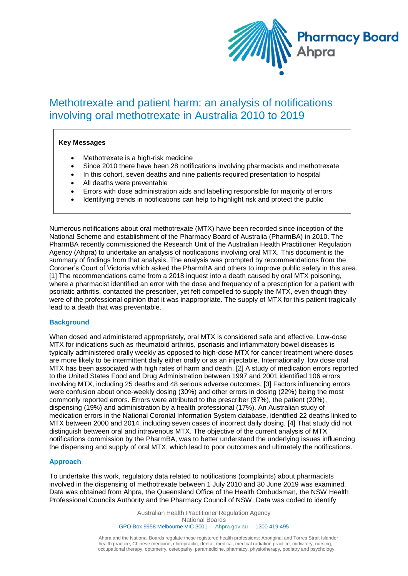

# Methotrexate and patient harm: an analysis of notifications involving oral methotrexate in Australia 2010 to 2019

#### **Key Messages**

- Methotrexate is a high-risk medicine
- Since 2010 there have been 28 notifications involving pharmacists and methotrexate
- In this cohort, seven deaths and nine patients required presentation to hospital
- All deaths were preventable
- Errors with dose administration aids and labelling responsible for majority of errors
- Identifying trends in notifications can help to highlight risk and protect the public

Numerous notifications about oral methotrexate (MTX) have been recorded since inception of the National Scheme and establishment of the Pharmacy Board of Australia (PharmBA) in 2010. The PharmBA recently commissioned the Research Unit of the Australian Health Practitioner Regulation Agency (Ahpra) to undertake an analysis of notifications involving oral MTX. This document is the summary of findings from that analysis. The analysis was prompted by recommendations from the Coroner's Court of Victoria which asked the PharmBA and others to improve public safety in this area. [1] The recommendations came from a 2018 inquest into a death caused by oral MTX poisoning, where a pharmacist identified an error with the dose and frequency of a prescription for a patient with psoriatic arthritis, contacted the prescriber, yet felt compelled to supply the MTX, even though they were of the professional opinion that it was inappropriate. The supply of MTX for this patient tragically lead to a death that was preventable.

#### **Background**

When dosed and administered appropriately, oral MTX is considered safe and effective. Low-dose MTX for indications such as rheumatoid arthritis, psoriasis and inflammatory bowel diseases is typically administered orally weekly as opposed to high-dose MTX for cancer treatment where doses are more likely to be intermittent daily either orally or as an injectable. Internationally, low dose oral MTX has been associated with high rates of harm and death. [2] A study of medication errors reported to the United States Food and Drug Administration between 1997 and 2001 identified 106 errors involving MTX, including 25 deaths and 48 serious adverse outcomes. [3] Factors influencing errors were confusion about once-weekly dosing (30%) and other errors in dosing (22%) being the most commonly reported errors. Errors were attributed to the prescriber (37%), the patient (20%), dispensing (19%) and administration by a health professional (17%). An Australian study of medication errors in the National Coronial Information System database, identified 22 deaths linked to MTX between 2000 and 2014, including seven cases of incorrect daily dosing. [4] That study did not distinguish between oral and intravenous MTX. The objective of the current analysis of MTX notifications commission by the PharmBA, was to better understand the underlying issues influencing the dispensing and supply of oral MTX, which lead to poor outcomes and ultimately the notifications.

#### **Approach**

To undertake this work, regulatory data related to notifications (complaints) about pharmacists involved in the dispensing of methotrexate between 1 July 2010 and 30 June 2019 was examined. Data was obtained from Ahpra, the Queensland Office of the Health Ombudsman, the NSW Health Professional Councils Authority and the Pharmacy Council of NSW. Data was coded to identify

> Australian Health Practitioner Regulation Agency National Boards GPO Box 9958 Melbourne VIC 3001 Ahpra.gov.au 1300 419 495

Ahpra and the National Boards regulate these registered health professions: Aboriginal and Torres Strait Islander health practice, Chinese medicine, chiropractic, dental, medical, medical radiation practice, midwifery, nursing, occupational therapy, optometry, osteopathy, paramedicine, pharmacy, physiotherapy, podiatry and psychology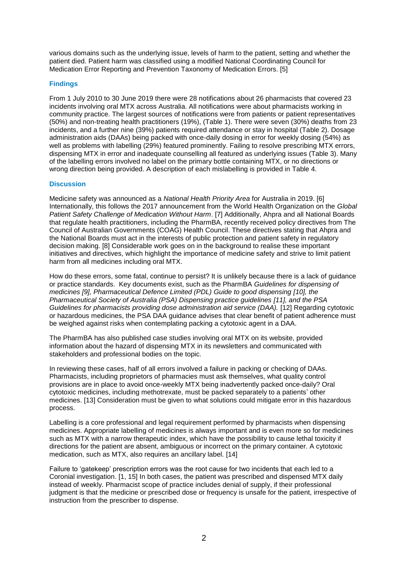various domains such as the underlying issue, levels of harm to the patient, setting and whether the patient died. Patient harm was classified using a modified National Coordinating Council for Medication Error Reporting and Prevention Taxonomy of Medication Errors. [5]

#### **Findings**

From 1 July 2010 to 30 June 2019 there were 28 notifications about 26 pharmacists that covered 23 incidents involving oral MTX across Australia. All notifications were about pharmacists working in community practice. The largest sources of notifications were from patients or patient representatives (50%) and non-treating health practitioners (19%), (Table 1). There were seven (30%) deaths from 23 incidents, and a further nine (39%) patients required attendance or stay in hospital (Table 2). Dosage administration aids (DAAs) being packed with once-daily dosing in error for weekly dosing (54%) as well as problems with labelling (29%) featured prominently. Failing to resolve prescribing MTX errors, dispensing MTX in error and inadequate counselling all featured as underlying issues (Table 3). Many of the labelling errors involved no label on the primary bottle containing MTX, or no directions or wrong direction being provided. A description of each mislabelling is provided in Table 4.

#### **Discussion**

Medicine safety was announced as a *National Health Priority Area* for Australia in 2019. [6] Internationally, this follows the 2017 announcement from the World Health Organization on the *Global Patient Safety Challenge of Medication Without Harm*. [7] Additionally, Ahpra and all National Boards that regulate health practitioners, including the PharmBA, recently received policy directives from The Council of Australian Governments (COAG) Health Council. These directives stating that Ahpra and the National Boards must act in the interests of public protection and patient safety in regulatory decision making. [8] Considerable work goes on in the background to realise these important initiatives and directives, which highlight the importance of medicine safety and strive to limit patient harm from all medicines including oral MTX.

How do these errors, some fatal, continue to persist? It is unlikely because there is a lack of guidance or practice standards. Key documents exist, such as the PharmBA *Guidelines for dispensing of medicines [9], Pharmaceutical Defence Limited (PDL) Guide to good dispensing [10], the Pharmaceutical Society of Australia (PSA) Dispensing practice guidelines [11], and the PSA Guidelines for pharmacists providing dose administration aid service (DAA).* [12] Regarding cytotoxic or hazardous medicines, the PSA DAA guidance advises that clear benefit of patient adherence must be weighed against risks when contemplating packing a cytotoxic agent in a DAA.

The PharmBA has also published case studies involving oral MTX on its website, provided information about the hazard of dispensing MTX in its newsletters and communicated with stakeholders and professional bodies on the topic.

In reviewing these cases, half of all errors involved a failure in packing or checking of DAAs. Pharmacists, including proprietors of pharmacies must ask themselves, what quality control provisions are in place to avoid once-weekly MTX being inadvertently packed once-daily? Oral cytotoxic medicines, including methotrexate, must be packed separately to a patients' other medicines. [13] Consideration must be given to what solutions could mitigate error in this hazardous process.

Labelling is a core professional and legal requirement performed by pharmacists when dispensing medicines. Appropriate labelling of medicines is always important and is even more so for medicines such as MTX with a narrow therapeutic index, which have the possibility to cause lethal toxicity if directions for the patient are absent, ambiguous or incorrect on the primary container. A cytotoxic medication, such as MTX, also requires an ancillary label. [14]

Failure to 'gatekeep' prescription errors was the root cause for two incidents that each led to a Coronial investigation. [1, 15] In both cases, the patient was prescribed and dispensed MTX daily instead of weekly. Pharmacist scope of practice includes denial of supply, if their professional judgment is that the medicine or prescribed dose or frequency is unsafe for the patient, irrespective of instruction from the prescriber to dispense.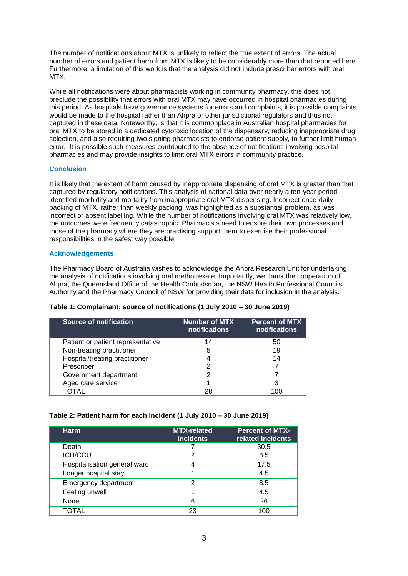The number of notifications about MTX is unlikely to reflect the true extent of errors. The actual number of errors and patient harm from MTX is likely to be considerably more than that reported here. Furthermore, a limitation of this work is that the analysis did not include prescriber errors with oral MTX.

While all notifications were about pharmacists working in community pharmacy, this does not preclude the possibility that errors with oral MTX may have occurred in hospital pharmacies during this period. As hospitals have governance systems for errors and complaints, it is possible complaints would be made to the hospital rather than Ahpra or other jurisdictional regulators and thus not captured in these data. Noteworthy, is that it is commonplace in Australian hospital pharmacies for oral MTX to be stored in a dedicated cytotoxic location of the dispensary, reducing inappropriate drug selection, and also requiring two signing pharmacists to endorse patient supply, to further limit human error. It is possible such measures contributed to the absence of notifications involving hospital pharmacies and may provide insights to limit oral MTX errors in community practice.

### **Conclusion**

It is likely that the extent of harm caused by inappropriate dispensing of oral MTX is greater than that captured by regulatory notifications. This analysis of national data over nearly a ten-year period, identified morbidity and mortality from inappropriate oral MTX dispensing. Incorrect once-daily packing of MTX, rather than weekly packing, was highlighted as a substantial problem, as was incorrect or absent labelling. While the number of notifications involving oral MTX was relatively low, the outcomes were frequently catastrophic. Pharmacists need to ensure their own processes and those of the pharmacy where they are practising support them to exercise their professional responsibilities in the safest way possible.

#### **Acknowledgements**

The Pharmacy Board of Australia wishes to acknowledge the Ahpra Research Unit for undertaking the analysis of notifications involving oral methotrexate. Importantly, we thank the cooperation of Ahpra, the Queensland Office of the Health Ombudsman, the NSW Health Professional Councils Authority and the Pharmacy Council of NSW for providing their data for inclusion in the analysis.

| Source of notification            | <b>Number of MTX</b><br>notifications | <b>Percent of MTX</b><br>notifications |
|-----------------------------------|---------------------------------------|----------------------------------------|
| Patient or patient representative | 14                                    | 50                                     |
| Non-treating practitioner         | 5                                     | 19                                     |
| Hospital/treating practitioner    |                                       | 14                                     |
| Prescriber                        | っ                                     |                                        |
| Government department             | っ                                     |                                        |
| Aged care service                 |                                       |                                        |
|                                   | 28                                    |                                        |

**Table 1: Complainant: source of notifications (1 July 2010 – 30 June 2019)**

### **Table 2: Patient harm for each incident (1 July 2010 – 30 June 2019)**

| <b>Harm</b>                  | MTX-related<br><b>incidents</b> | <b>Percent of MTX-</b><br>related incidents |
|------------------------------|---------------------------------|---------------------------------------------|
| Death                        |                                 | 30.5                                        |
| <b>ICU/CCU</b>               | 2                               | 8.5                                         |
| Hospitalisation general ward |                                 | 17.5                                        |
| Longer hospital stay         |                                 | 4.5                                         |
| Emergency department         | 2                               | 8.5                                         |
| Feeling unwell               |                                 | 4.5                                         |
| None                         | 6                               | 26                                          |
| TOTAL                        | 23                              | 100                                         |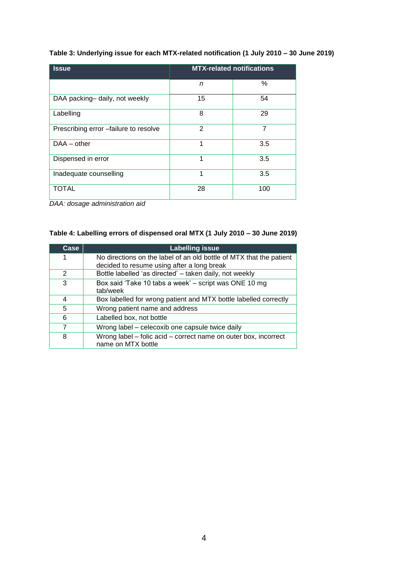# **Table 3: Underlying issue for each MTX-related notification (1 July 2010 – 30 June 2019)**

| <b>Issue</b>                          | <b>MTX-related notifications</b> |     |
|---------------------------------------|----------------------------------|-----|
|                                       | n                                | %   |
| DAA packing-daily, not weekly         | 15                               | 54  |
| Labelling                             | 8                                | 29  |
| Prescribing error -failure to resolve | $\overline{2}$                   | 7   |
| $DAA - other$                         | 1                                | 3.5 |
| Dispensed in error                    | 1                                | 3.5 |
| Inadequate counselling                | 1                                | 3.5 |
| TOTAL                                 | 28                               | 100 |

*DAA: dosage administration aid*

## **Table 4: Labelling errors of dispensed oral MTX (1 July 2010 – 30 June 2019)**

| Case           | <b>Labelling issue</b>                                                                                            |
|----------------|-------------------------------------------------------------------------------------------------------------------|
| 1              | No directions on the label of an old bottle of MTX that the patient<br>decided to resume using after a long break |
| 2              | Bottle labelled 'as directed' - taken daily, not weekly                                                           |
| 3              | Box said 'Take 10 tabs a week' - script was ONE 10 mg<br>tab/week                                                 |
| 4              | Box labelled for wrong patient and MTX bottle labelled correctly                                                  |
| 5              | Wrong patient name and address                                                                                    |
| 6              | Labelled box, not bottle                                                                                          |
| $\overline{7}$ | Wrong label – celecoxib one capsule twice daily                                                                   |
| 8              | Wrong label - folic acid - correct name on outer box, incorrect<br>name on MTX bottle                             |